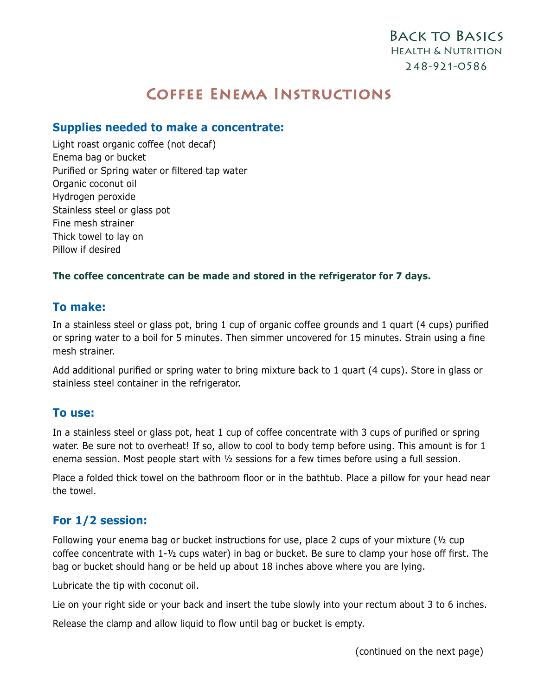# Coffee Enema Instructions

### **Supplies needed to make a concentrate:**

Light roast organic coffee (not decaf) Enema bag or bucket Purified or Spring water or filtered tap water Organic coconut oil Hydrogen peroxide Stainless steel or glass pot Fine mesh strainer Thick towel to lay on Pillow if desired

#### **The coffee concentrate can be made and stored in the refrigerator for 7 days.**

#### **To make:**

In a stainless steel or glass pot, bring 1 cup of organic coffee grounds and 1 quart (4 cups) purified or spring water to a boil for 5 minutes. Then simmer uncovered for 15 minutes. Strain using a fine mesh strainer.

Add additional purified or spring water to bring mixture back to 1 quart (4 cups). Store in glass or stainless steel container in the refrigerator.

#### **To use:**

In a stainless steel or glass pot, heat 1 cup of coffee concentrate with 3 cups of purified or spring water. Be sure not to overheat! If so, allow to cool to body temp before using. This amount is for 1 enema session. Most people start with ½ sessions for a few times before using a full session.

Place a folded thick towel on the bathroom floor or in the bathtub. Place a pillow for your head near the towel.

#### **For 1/2 session:**

Following your enema bag or bucket instructions for use, place 2 cups of your mixture ( $\frac{1}{2}$  cup coffee concentrate with 1-½ cups water) in bag or bucket. Be sure to clamp your hose off first. The bag or bucket should hang or be held up about 18 inches above where you are lying.

Lubricate the tip with coconut oil.

Lie on your right side or your back and insert the tube slowly into your rectum about 3 to 6 inches.

Release the clamp and allow liquid to flow until bag or bucket is empty.